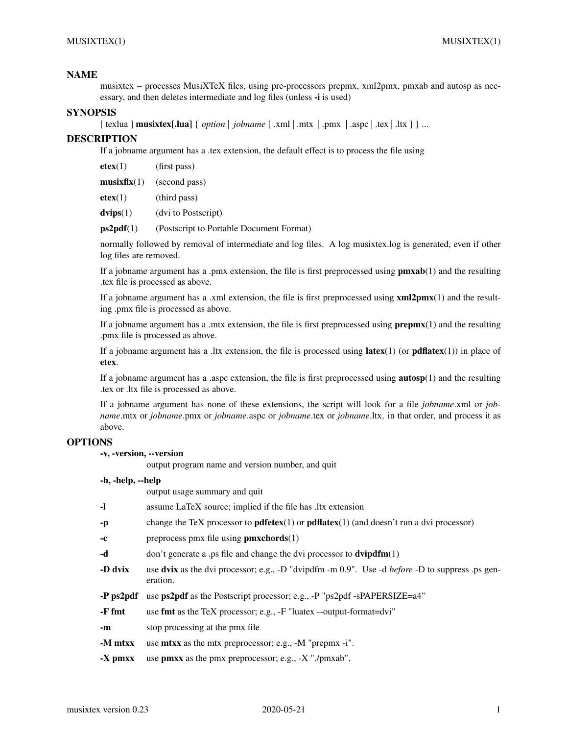## **NAME**

musixtex−processes MusiXTeX files, using pre-processors prepmx, xml2pmx, pmxab and autosp as necessary, and then deletes intermediate and log files (unless **-i** is used)

## **SYNOPSIS**

 $\lceil$  texlua  $\lceil$  **musixtex**[*lua*]  $\{$  *option*  $\lceil$  *jobname*  $\lceil$  *.xml*  $\lceil$  *.mx*  $\lceil$  *.pmx*  $\lceil$  *.aspc*  $\lceil$  *.tex*  $\lceil$  *.ltx*  $\lceil$  *} ...* 

## **DESCRIPTION**

If a jobname argument has a .tex extension, the default effect is to process the file using

**etex**(1) (first pass)

**musixflx**(1) (second pass)

**etex**(1) (third pass)

**dvips**(1) (dvi to Postscript)

**ps2pdf**(1) (Postscript to Portable Document Format)

normally followed by removal of intermediate and log files. A log musixtex.log is generated, even if other log files are removed.

If a jobname argument has a .pmx extension, the file is first preprocessed using **pmxab**(1) and the resulting .tex file is processed as above.

If a jobname argument has a .xml extension, the file is first preprocessed using **xml2pmx**(1) and the resulting .pmx file is processed as above.

If a jobname argument has a .mtx extension, the file is first preprocessed using **prepmx**(1) and the resulting .pmx file is processed as above.

If a jobname argument has a .ltx extension, the file is processed using **latex**(1) (or **pdflatex**(1)) in place of **etex**.

If a jobname argument has a .aspc extension, the file is first preprocessed using **autosp**(1) and the resulting .tex or .ltx file is processed as above.

If a jobname argument has none of these extensions, the script will look for a file *jobname*.xml or *jobname*.mtx or *jobname*.pmx or *jobname*.aspc or *jobname*.tex or *jobname*.ltx*,* in that order, and process it as above.

### **OPTIONS**

### **-v, -version, --version**

output program name and version number, and quit

#### **-h, -help, --help**

|           | output usage summary and quit                                                                                      |
|-----------|--------------------------------------------------------------------------------------------------------------------|
| -1        | assume LaTeX source; implied if the file has ltx extension                                                         |
| -p        | change the TeX processor to <b>pdfetex</b> $(1)$ or <b>pdflatex</b> $(1)$ (and doesn't run a dvi processor)        |
| -c        | preprocess pmx file using $pmxchords(1)$                                                                           |
| -d        | don't generate a .ps file and change the dvi processor to $\text{dvipdfm}(1)$                                      |
| -D dvix   | use dvix as the dvi processor; e.g., -D "dvipdfm -m 0.9". Use -d <i>before</i> -D to suppress .ps gen-<br>eration. |
| -P ps2pdf | use <b>ps2pdf</b> as the Postscript processor; e.g., -P "ps2pdf -sPAPERSIZE=a4"                                    |
| -F fmt    | use <b>fmt</b> as the TeX processor; e.g., -F "luatex --output-format=dvi"                                         |
| -m        | stop processing at the pmx file                                                                                    |
| -M mtxx   | use <b>mtxx</b> as the mtx preprocessor; e.g., -M "prepmx -i".                                                     |
| -X pmxx   | use <b>pmxx</b> as the pmx preprocessor; e.g., $-X$ "./pmxab",                                                     |
|           |                                                                                                                    |